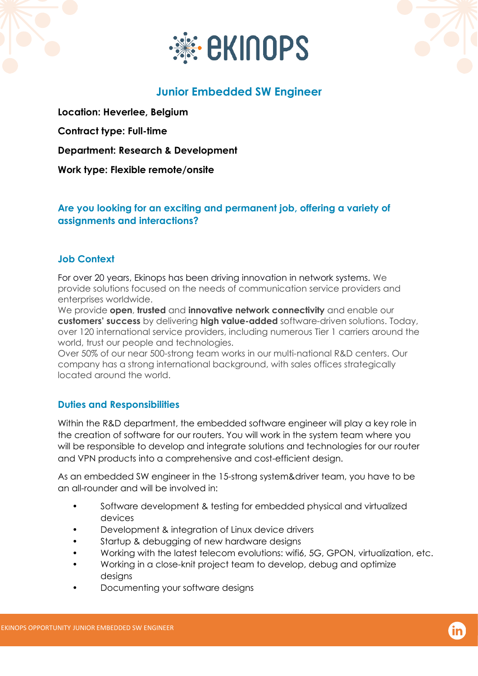



# **Junior Embedded SW Engineer**

**Location: Heverlee, Belgium Contract type: Full-time Department: Research & Development Work type: Flexible remote/onsite**

## **Are you looking for an exciting and permanent job, offering a variety of assignments and interactions?**

### **Job Context**

For over 20 years, Ekinops has been driving innovation in network systems. We provide solutions focused on the needs of communication service providers and enterprises worldwide.

We provide **open**, **trusted** and **innovative network connectivity** and enable our **customers' success** by delivering **high value-added** software-driven solutions. Today, over 120 international service providers, including numerous Tier 1 carriers around the world, trust our people and technologies.

Over 50% of our near 500-strong team works in our multi-national R&D centers. Our company has a strong international background, with sales offices strategically located around the world.

### **Duties and Responsibilities**

Within the R&D department, the embedded software engineer will play a key role in the creation of software for our routers. You will work in the system team where you will be responsible to develop and integrate solutions and technologies for our router and VPN products into a comprehensive and cost-efficient design.

As an embedded SW engineer in the 15-strong system&driver team, you have to be an all-rounder and will be involved in:

- Software development & testing for embedded physical and virtualized devices
- Development & integration of Linux device drivers
- Startup & debugging of new hardware designs
- Working with the latest telecom evolutions: wifi6, 5G, GPON, virtualization, etc.
- Working in a close-knit project team to develop, debug and optimize desians
- Documenting your software designs